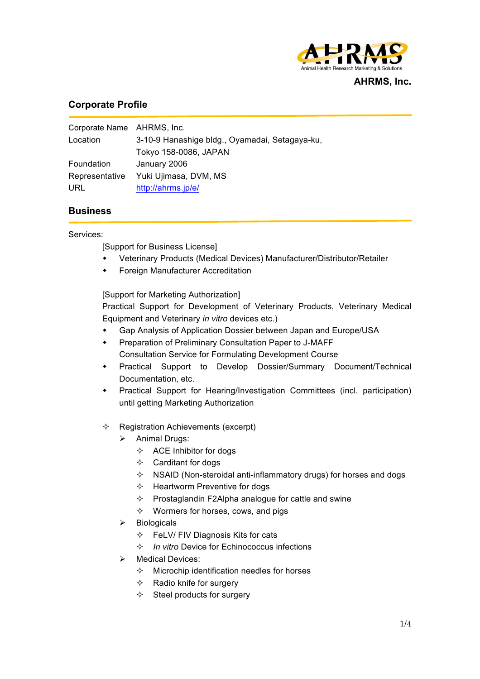

#### **AHRMS, Inc.**

# **Corporate Profile**

| Corporate Name AHRMS, Inc. |                                                |
|----------------------------|------------------------------------------------|
| Location                   | 3-10-9 Hanashige bldg., Oyamadai, Setagaya-ku, |
|                            | Tokyo 158-0086, JAPAN                          |
| Foundation                 | January 2006                                   |
| Representative             | Yuki Ujimasa, DVM, MS                          |
| URL                        | http://ahrms.jp/e/                             |

## **Business**

Services:

[Support for Business License]

- Veterinary Products (Medical Devices) Manufacturer/Distributor/Retailer
- Foreign Manufacturer Accreditation

[Support for Marketing Authorization]

Practical Support for Development of Veterinary Products, Veterinary Medical Equipment and Veterinary *in vitro* devices etc.)

- **+** Gap Analysis of Application Dossier between Japan and Europe/USA
- Preparation of Preliminary Consultation Paper to J-MAFF Consultation Service for Formulating Development Course
- Practical Support to Develop Dossier/Summary Document/Technical Documentation, etc.
- Practical Support for Hearing/Investigation Committees (incl. participation) until getting Marketing Authorization
- $\Diamond$  Registration Achievements (excerpt)
	- $\triangleright$  Animal Drugs:
		- $\Diamond$  ACE Inhibitor for dogs
		- $\Diamond$  Carditant for dogs
		- $\diamond$  NSAID (Non-steroidal anti-inflammatory drugs) for horses and dogs
		- $\Diamond$  Heartworm Preventive for dogs
		- $\Diamond$  Prostaglandin F2Alpha analogue for cattle and swine
		- $\Diamond$  Wormers for horses, cows, and pigs
	- $\triangleright$  Biologicals
		- $\Diamond$  FeLV/ FIV Diagnosis Kits for cats
		- ² *In vitro* Device for Echinococcus infections
	- $\triangleright$  Medical Devices:
		- $\Diamond$  Microchip identification needles for horses
		- $\Leftrightarrow$  Radio knife for surgery
		- $\diamond$  Steel products for surgery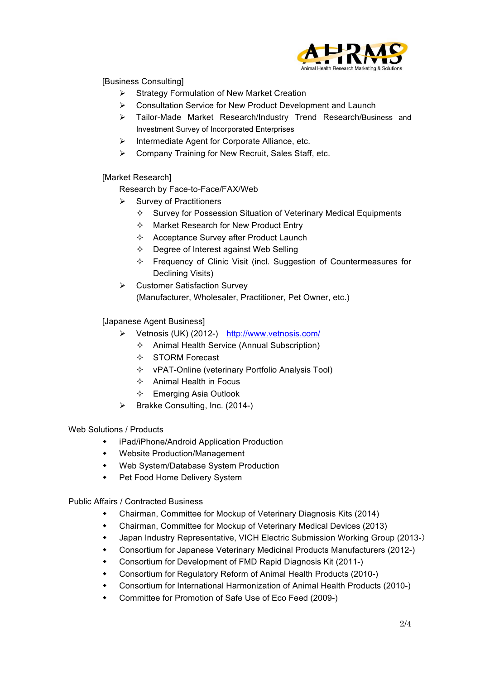

[Business Consulting]

- $\triangleright$  Strategy Formulation of New Market Creation
- $\triangleright$  Consultation Service for New Product Development and Launch
- Ø Tailor-Made Market Research/Industry Trend Research/Business and Investment Survey of Incorporated Enterprises
- $\triangleright$  Intermediate Agent for Corporate Alliance, etc.
- $\triangleright$  Company Training for New Recruit, Sales Staff, etc.

[Market Research]

Research by Face-to-Face/FAX/Web

- $\triangleright$  Survey of Practitioners
	- $\Diamond$  Survey for Possession Situation of Veterinary Medical Equipments
	- $\Diamond$  Market Research for New Product Entry
	- $\Diamond$  Acceptance Survey after Product Launch
	- $\Diamond$  Degree of Interest against Web Selling
	- $\Diamond$  Frequency of Clinic Visit (incl. Suggestion of Countermeasures for Declining Visits)
- $\triangleright$  Customer Satisfaction Survey (Manufacturer, Wholesaler, Practitioner, Pet Owner, etc.)

## [Japanese Agent Business]

- Ø Vetnosis (UK) (2012-) http://www.vetnosis.com/
	- $\Diamond$  Animal Health Service (Annual Subscription)
	- $\diamond$  STORM Forecast
	- $\Diamond$  vPAT-Online (veterinary Portfolio Analysis Tool)
	- $\Diamond$  Animal Health in Focus
	- $\Diamond$  Emerging Asia Outlook
- $\triangleright$  Brakke Consulting, Inc. (2014-)

Web Solutions / Products

- w iPad/iPhone/Android Application Production
- Website Production/Management
- Web System/Database System Production
- Pet Food Home Delivery System

Public Affairs / Contracted Business

- Chairman, Committee for Mockup of Veterinary Diagnosis Kits (2014)
- Chairman, Committee for Mockup of Veterinary Medical Devices (2013)
- Japan Industry Representative, VICH Electric Submission Working Group (2013-)
- Consortium for Japanese Veterinary Medicinal Products Manufacturers (2012-)
- Consortium for Development of FMD Rapid Diagnosis Kit (2011-)
- Consortium for Regulatory Reform of Animal Health Products (2010-)
- \* Consortium for International Harmonization of Animal Health Products (2010-)
- Committee for Promotion of Safe Use of Eco Feed (2009-)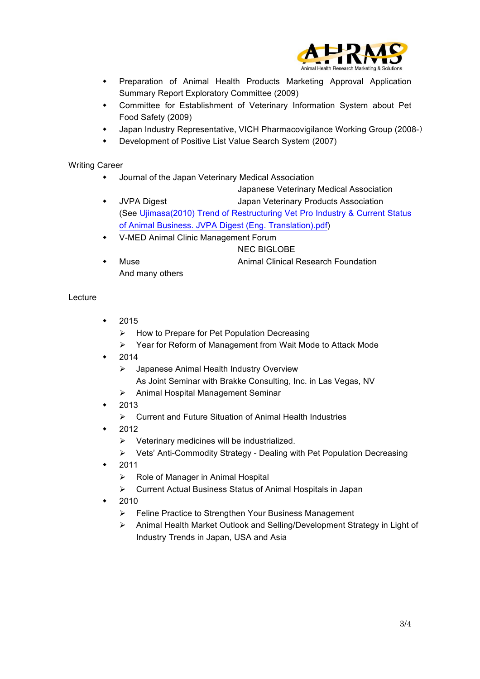

- Preparation of Animal Health Products Marketing Approval Application Summary Report Exploratory Committee (2009)
- Committee for Establishment of Veterinary Information System about Pet Food Safety (2009)
- Japan Industry Representative, VICH Pharmacovigilance Working Group (2008-)
- Development of Positive List Value Search System (2007)

## Writing Career

 $\bullet$  Journal of the Japan Veterinary Medical Association

Japanese Veterinary Medical Association

- JVPA Digest Japan Veterinary Products Association (See Ujimasa(2010) Trend of Restructuring Vet Pro Industry & Current Status of Animal Business. JVPA Digest (Eng. Translation).pdf)
- V-MED Animal Clinic Management Forum
- NEC BIGLOBE Muse **Animal Clinical Research Foundation** And many others

#### Lecture

- 2015
	- $\triangleright$  How to Prepare for Pet Population Decreasing
	- $\triangleright$  Year for Reform of Management from Wait Mode to Attack Mode
- 2014
	- $\triangleright$  Japanese Animal Health Industry Overview
	- As Joint Seminar with Brakke Consulting, Inc. in Las Vegas, NV
	- $\triangleright$  Animal Hospital Management Seminar
- 2013
	- $\triangleright$  Current and Future Situation of Animal Health Industries
- 2012
	- $\triangleright$  Veterinary medicines will be industrialized.
	- Ø Vets' Anti-Commodity Strategy Dealing with Pet Population Decreasing
- 2011
	- $\triangleright$  Role of Manager in Animal Hospital
	- $\triangleright$  Current Actual Business Status of Animal Hospitals in Japan
- w 2010
	- Ø Feline Practice to Strengthen Your Business Management
	- Ø Animal Health Market Outlook and Selling/Development Strategy in Light of Industry Trends in Japan, USA and Asia